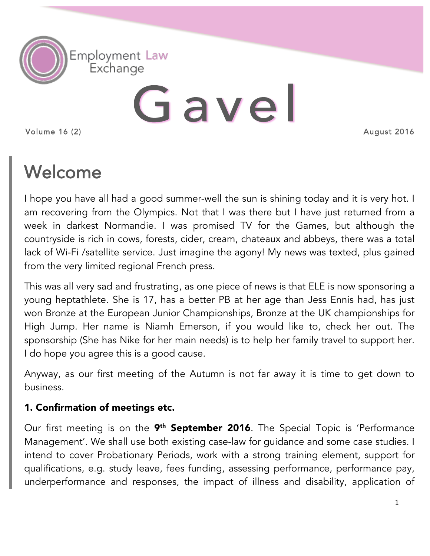

# Gavel

Volume 16 (2)

# Welcome

I hope you have all had a good summer-well the sun is shining today and it is very hot. I am recovering from the Olympics. Not that I was there but I have just returned from a week in darkest Normandie. I was promised TV for the Games, but although the countryside is rich in cows, forests, cider, cream, chateaux and abbeys, there was a total lack of Wi-Fi /satellite service. Just imagine the agony! My news was texted, plus gained from the very limited regional French press.

This was all very sad and frustrating, as one piece of news is that ELE is now sponsoring a young heptathlete. She is 17, has a better PB at her age than Jess Ennis had, has just won Bronze at the European Junior Championships, Bronze at the UK championships for High Jump. Her name is Niamh Emerson, if you would like to, check her out. The sponsorship (She has Nike for her main needs) is to help her family travel to support her. I do hope you agree this is a good cause.

Anyway, as our first meeting of the Autumn is not far away it is time to get down to business.

## 1. Confirmation of meetings etc.

Our first meeting is on the 9<sup>th</sup> September 2016. The Special Topic is 'Performance Management'. We shall use both existing case-law for guidance and some case studies. I intend to cover Probationary Periods, work with a strong training element, support for qualifications, e.g. study leave, fees funding, assessing performance, performance pay, underperformance and responses, the impact of illness and disability, application of

August 2016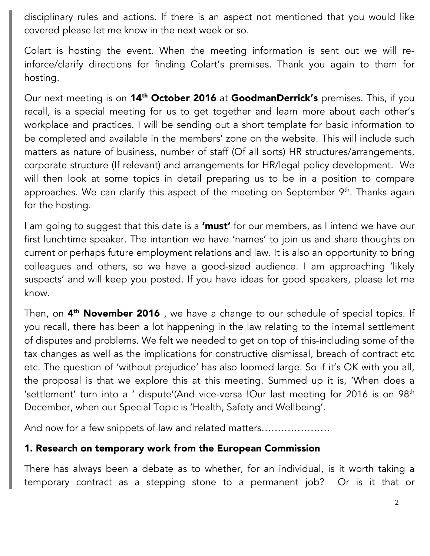disciplinary rules and actions. If there is an aspect not mentioned that you would like covered please let me know in the next week or so.

Colart is hosting the event. When the meeting information is sent out we will reinforce/clarify directions for finding Colart's premises. Thank you again to them for hosting.

Our next meeting is on 14<sup>th</sup> October 2016 at GoodmanDerrick's premises. This, if you recall, is a special meeting for us to get together and learn more about each other's workplace and practices. I will be sending out a short template for basic information to be completed and available in the members' zone on the website. This will include such matters as nature of business, number of staff (Of all sorts) HR structures/arrangements, corporate structure (If relevant) and arrangements for HR/legal policy development. We will then look at some topics in detail preparing us to be in a position to compare approaches. We can clarify this aspect of the meeting on September 9<sup>th</sup>. Thanks again for the hosting.

I am going to suggest that this date is a 'must' for our members, as I intend we have our first lunchtime speaker. The intention we have 'names' to join us and share thoughts on current or perhaps future employment relations and law. It is also an opportunity to bring colleagues and others, so we have a good-sized audience. I am approaching 'likely suspects' and will keep you posted. If you have ideas for good speakers, please let me know.

Then, on 4<sup>th</sup> November 2016, we have a change to our schedule of special topics. If you recall, there has been a lot happening in the law relating to the internal settlement of disputes and problems. We felt we needed to get on top of this-including some of the tax changes as well as the implications for constructive dismissal, breach of contract etc etc. The question of 'without prejudice' has also loomed large. So if it's OK with you all, the proposal is that we explore this at this meeting. Summed up it is, 'When does a 'settlement' turn into a ' dispute'(And vice-versa !Our last meeting for 2016 is on  $98<sup>th</sup>$ December, when our Special Topic is 'Health, Safety and Wellbeing'.

And now for a few snippets of law and related matters…………………

#### 1. Research on temporary work from the European Commission

There has always been a debate as to whether, for an individual, is it worth taking a temporary contract as a stepping stone to a permanent job? Or is it that or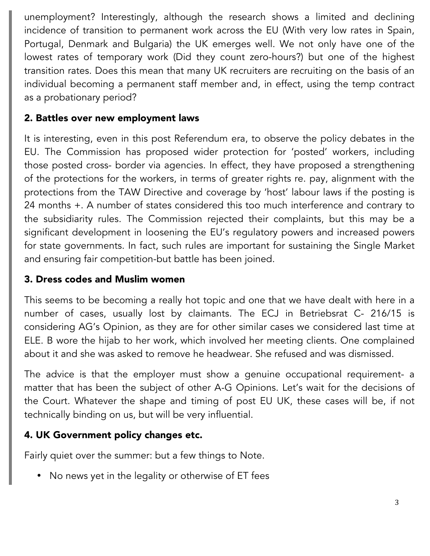unemployment? Interestingly, although the research shows a limited and declining incidence of transition to permanent work across the EU (With very low rates in Spain, Portugal, Denmark and Bulgaria) the UK emerges well. We not only have one of the lowest rates of temporary work (Did they count zero-hours?) but one of the highest transition rates. Does this mean that many UK recruiters are recruiting on the basis of an individual becoming a permanent staff member and, in effect, using the temp contract as a probationary period?

### 2. Battles over new employment laws

It is interesting, even in this post Referendum era, to observe the policy debates in the EU. The Commission has proposed wider protection for 'posted' workers, including those posted cross- border via agencies. In effect, they have proposed a strengthening of the protections for the workers, in terms of greater rights re. pay, alignment with the protections from the TAW Directive and coverage by 'host' labour laws if the posting is 24 months +. A number of states considered this too much interference and contrary to the subsidiarity rules. The Commission rejected their complaints, but this may be a significant development in loosening the EU's regulatory powers and increased powers for state governments. In fact, such rules are important for sustaining the Single Market and ensuring fair competition-but battle has been joined.

#### 3. Dress codes and Muslim women

This seems to be becoming a really hot topic and one that we have dealt with here in a number of cases, usually lost by claimants. The ECJ in Betriebsrat C- 216/15 is considering AG's Opinion, as they are for other similar cases we considered last time at ELE. B wore the hijab to her work, which involved her meeting clients. One complained about it and she was asked to remove he headwear. She refused and was dismissed.

The advice is that the employer must show a genuine occupational requirement- a matter that has been the subject of other A-G Opinions. Let's wait for the decisions of the Court. Whatever the shape and timing of post EU UK, these cases will be, if not technically binding on us, but will be very influential.

#### 4. UK Government policy changes etc.

Fairly quiet over the summer: but a few things to Note.

• No news yet in the legality or otherwise of ET fees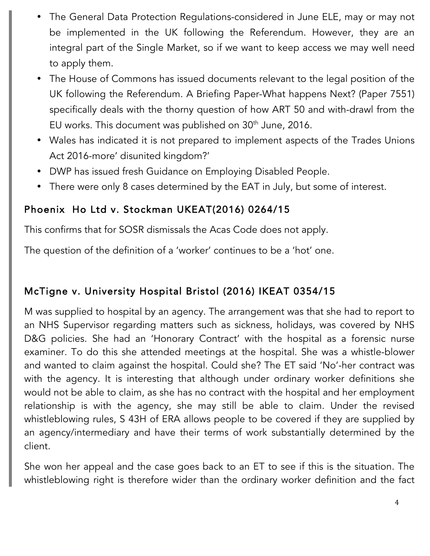- The General Data Protection Regulations-considered in June ELE, may or may not be implemented in the UK following the Referendum. However, they are an integral part of the Single Market, so if we want to keep access we may well need to apply them.
- The House of Commons has issued documents relevant to the legal position of the UK following the Referendum. A Briefing Paper-What happens Next? (Paper 7551) specifically deals with the thorny question of how ART 50 and with-drawl from the EU works. This document was published on 30<sup>th</sup> June, 2016.
- Wales has indicated it is not prepared to implement aspects of the Trades Unions Act 2016-more' disunited kingdom?'
- DWP has issued fresh Guidance on Employing Disabled People.
- There were only 8 cases determined by the EAT in July, but some of interest.

# Phoenix Ho Ltd v. Stockman UKEAT(2016) 0264/15

This confirms that for SOSR dismissals the Acas Code does not apply.

The question of the definition of a 'worker' continues to be a 'hot' one.

# McTigne v. University Hospital Bristol (2016) IKEAT 0354/15

M was supplied to hospital by an agency. The arrangement was that she had to report to an NHS Supervisor regarding matters such as sickness, holidays, was covered by NHS D&G policies. She had an 'Honorary Contract' with the hospital as a forensic nurse examiner. To do this she attended meetings at the hospital. She was a whistle-blower and wanted to claim against the hospital. Could she? The ET said 'No'-her contract was with the agency. It is interesting that although under ordinary worker definitions she would not be able to claim, as she has no contract with the hospital and her employment relationship is with the agency, she may still be able to claim. Under the revised whistleblowing rules, S 43H of ERA allows people to be covered if they are supplied by an agency/intermediary and have their terms of work substantially determined by the client.

She won her appeal and the case goes back to an ET to see if this is the situation. The whistleblowing right is therefore wider than the ordinary worker definition and the fact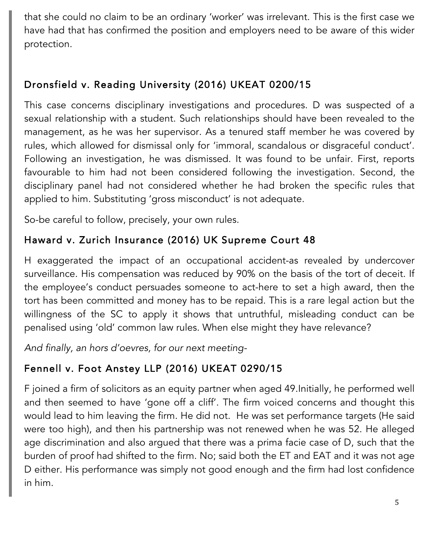that she could no claim to be an ordinary 'worker' was irrelevant. This is the first case we have had that has confirmed the position and employers need to be aware of this wider protection.

# Dronsfield v. Reading University (2016) UKEAT 0200/15

This case concerns disciplinary investigations and procedures. D was suspected of a sexual relationship with a student. Such relationships should have been revealed to the management, as he was her supervisor. As a tenured staff member he was covered by rules, which allowed for dismissal only for 'immoral, scandalous or disgraceful conduct'. Following an investigation, he was dismissed. It was found to be unfair. First, reports favourable to him had not been considered following the investigation. Second, the disciplinary panel had not considered whether he had broken the specific rules that applied to him. Substituting 'gross misconduct' is not adequate.

So-be careful to follow, precisely, your own rules.

# Haward v. Zurich Insurance (2016) UK Supreme Court 48

H exaggerated the impact of an occupational accident-as revealed by undercover surveillance. His compensation was reduced by 90% on the basis of the tort of deceit. If the employee's conduct persuades someone to act-here to set a high award, then the tort has been committed and money has to be repaid. This is a rare legal action but the willingness of the SC to apply it shows that untruthful, misleading conduct can be penalised using 'old' common law rules. When else might they have relevance?

*And finally, an hors d'oevres, for our next meeting-*

# Fennell v. Foot Anstey LLP (2016) UKEAT 0290/15

F joined a firm of solicitors as an equity partner when aged 49.Initially, he performed well and then seemed to have 'gone off a cliff'. The firm voiced concerns and thought this would lead to him leaving the firm. He did not. He was set performance targets (He said were too high), and then his partnership was not renewed when he was 52. He alleged age discrimination and also argued that there was a prima facie case of D, such that the burden of proof had shifted to the firm. No; said both the ET and EAT and it was not age D either. His performance was simply not good enough and the firm had lost confidence in him.